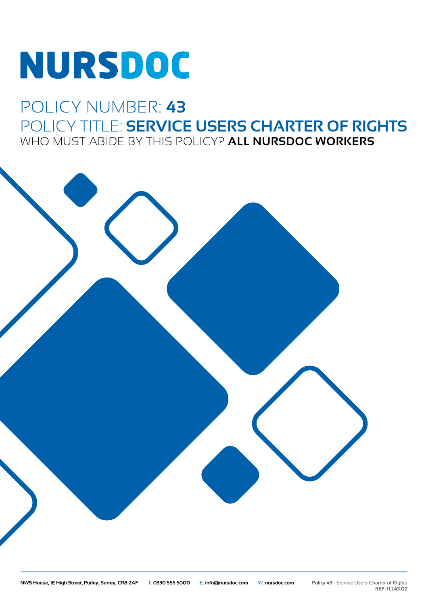# **NURSDOC**

## POLICY NUMBER: **43** POLICY TITLE: **SERVICE USERS CHARTER OF RIGHTS** WHO MUST ABIDE BY THIS POLICY? **ALL NURSDOC WORKERS**

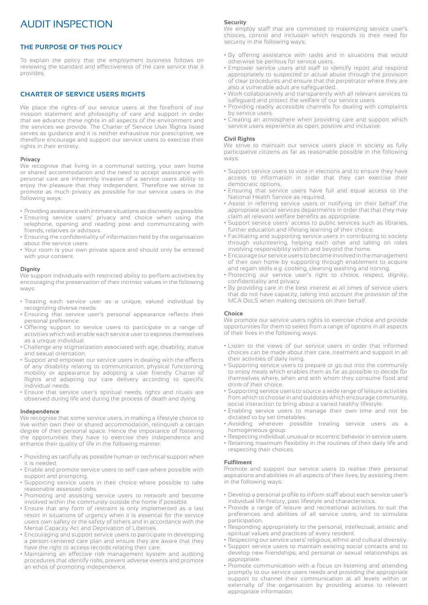### AUDIT INSPECTION

#### **THE PURPOSE OF THIS POLICY**

To explain the policy that the employment business follows on reviewing the standard and effectiveness of the care service that it provides.

#### **CHARTER OF SERVICE USERS RIGHTS**

We place the rights of our service users at the forefront of our mission statement and philosophy of care and support in order that we advance these rights in all aspects of the environment and the services we provide. The Charter of Service User Rights listed serves as guidance and it is neither exhaustive nor prescriptive, we therefore encourage and support our service users to exercise their rights in their entirety.

#### **Privacy**

We recognise that living in a communal setting, your own home or shared accommodation and the need to accept assistance with personal care are inherently invasive of a service users ability to enjoy the pleasure that they independent. Therefore we strive to promote as much privacy as possible for our service users in the following ways:

- Providing assistance with intimate situations as discreetly as possible.
- Ensuring service users' privacy and choice when using the telephone, opening and reading post and communicating with friends, relatives or advisors.
- Ensuring the confidentiality of information held by the organisation about the service users.
- Your room is your own private space and should only be entered with your consent.

#### **Dignity**

We support individuals with restricted ability to perform activities by encouraging the preservation of their intrinsic values in the following ways:

- Treating each service user as a unique, valued individual by recognizing diverse needs.
- Ensuring that service user's personal appearance reflects their personal preference.
- Offering support to service users to participate in a range of activities which will enable each service user to express themselves as a unique individual.
- Challenge any stigmatization associated with age, disability, status and sexual orientation.
- Support and empower our service users in dealing with the effects of any disability relating to communication, physical functioning, mobility or appearance by adopting a user friendly Charter of Rights and adapting our care delivery according to specific individual needs.
- Ensure that service user's spiritual needs, rights and rituals are observed during life and during the process of death and dying.

#### **Independence**

We recognise that some service users, in making a lifestyle choice to live within own their or shared accommodation, relinquish a certain degree of their personal space. Hence the importance of fostering the opportunities they have to exercise their independence and enhance their quality of life in the following manner:

- Providing as tactfully as possible human or technical support when it is needed.
- Enable and promote service users to self-care where possible with support and prompting.
- Supporting service users in their choice where possible to take reasonable assessed risks.
- Promoting and assisting service users to network and become involved within the community outside the home if possible.
- Ensure that any form of restraint is only implemented as a last resort in situations of urgency when it is essential for the service users own safety or the safety of others and in accordance with the Mental Capacity Act and Deprivation of Liberties.
- Encouraging and support service users to participate in developing a person-centered care plan and ensure they are aware that they have the right to access records relating their care.
- Maintaining an effective risk management system and auditing procedures that identify risks, prevent adverse events and promote an ethos of promoting independence.

#### **Security**

We employ staff that are committed to maximizing service user's choices, control and inclusion which responds to their need for security in the following ways:

- By offering assistance with tasks and in situations that would otherwise be perilous for service users.
- Empower service users and staff to identify report and respond appropriately to suspected or actual abuse through the provision of clear procedures and ensure that the perpetrator where they are also a vulnerable adult are safeguarded.
- Work collaboratively and transparently with all relevant services to safeguard and protect the welfare of our service users.
- Providing readily accessible channels for dealing with complaints by service users.
- Creating an atmosphere when providing care and support which service users experience as open, positive and inclusive.

#### **Civil Rights**

We strive to maintain our service users place in society as fully participative citizens as far as reasonable possible in the following ways:

- Support service users to vote in elections and to ensure they have access to information in order that they can exercise their democratic options.
- Ensuring that service users have full and equal access to the National Health Service as required.
- Assist in referring service users or notifying on their behalf the appropriate social services departments in order that that they may claim all relevant welfare benefits as appropriate.
- Support service users' access to public services such as libraries, further education and lifelong learning of their choice.
- Facilitating and supporting service users in contributing to society through volunteering, helping each other and taking on roles involving responsibility within and beyond the home.
- Encourage our service users to become involved in the management of their own home by supporting through enablement to acquire and regain skills e.g. cooking, cleaning washing and ironing.
- Protecting our service user's right to choice, respect, dignity, confidentiality and privacy.
- By providing care in the best interest at all times of service users that do not have capacity, taking into account the provision of the MCA DoLS when making decisions on their behalf.

#### **Choice**

We promote our service users rights to exercise choice and provide opportunities for them to select from a range of options in all aspects of their lives in the following ways:

- Listen to the views of our service users in order that informed choices can be made about their care, treatment and support in all their activities of daily living.
- Supporting service users to prepare or go out into the community to enjoy meals which enables them as far as possible to decide for themselves where, when and with whom they consume food and drink of their choice.
- Supporting service users to source a wide range of leisure activities from which to choose in and outdoors which encourage community, social interaction to bring about a varied healthy lifestyle.
- Enabling service users to manage their own time and not be dictated to by set timetables.
- Avoiding wherever possible treating service users as a homogeneous group.
- Respecting individual, unusual or eccentric behavior in service users.
- Retaining maximum flexibility in the routines of their daily life and respecting their choices.

#### **Fulfilment**

Promote and support our service users to realise their personal aspirations and abilities in all aspects of their lives, by assisting them in the following ways:

- Develop a personal profile to inform staff about each service user's individual life-history, past lifestyle and characteristics.
- Provide a range of leisure and recreational activities to suit the preferences and abilities of all service users, and to stimulate participation.
- Responding appropriately to the personal, intellectual, artistic and spiritual values and practices of every resident.
- Respecting our service users' religious, ethnic and cultural diversity. • Support service users to maintain existing social contacts and to develop new friendships, and personal or sexual relationships as appropriate.
- Promote communication with a focus on listening and attending promptly to our service users needs and providing the appropriate support to channel their communication at all levels within or externally of the organisation by providing access to relevant appropriate information.